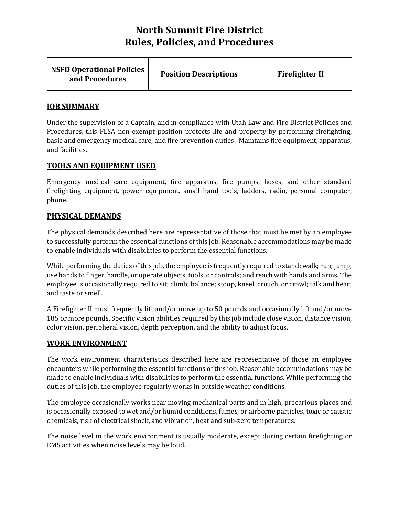| <b>NSFD Operational Policies</b><br><b>Position Descriptions</b><br>and Procedures | <b>Firefighter II</b> |
|------------------------------------------------------------------------------------|-----------------------|
|------------------------------------------------------------------------------------|-----------------------|

### **JOB SUMMARY**

Under the supervision of a Captain, and in compliance with Utah Law and Fire District Policies and Procedures, this FLSA non-exempt position protects life and property by performing firefighting, basic and emergency medical care, and fire prevention duties. Maintains fire equipment, apparatus, and facilities.

#### **TOOLS AND EQUIPMENT USED**

Emergency medical care equipment, fire apparatus, fire pumps, hoses, and other standard firefighting equipment, power equipment, small hand tools, ladders, radio, personal computer, phone.

## **PHYSICAL DEMANDS**

The physical demands described here are representative of those that must be met by an employee to successfully perform the essential functions of this job. Reasonable accommodations may be made to enable individuals with disabilities to perform the essential functions.

While performing the duties of this job, the employee is frequently required to stand; walk; run; jump; use hands to finger, handle, or operate objects, tools, or controls; and reach with hands and arms. The employee is occasionally required to sit; climb; balance; stoop, kneel, crouch, or crawl; talk and hear; and taste or smell.

A Firefighter II must frequently lift and/or move up to 50 pounds and occasionally lift and/or move 185 or more pounds. Specific vision abilities required by this job include close vision, distance vision, color vision, peripheral vision, depth perception, and the ability to adjust focus.

#### **WORK ENVIRONMENT**

The work environment characteristics described here are representative of those an employee encounters while performing the essential functions of this job. Reasonable accommodations may be made to enable individuals with disabilities to perform the essential functions. While performing the duties of this job, the employee regularly works in outside weather conditions.

The employee occasionally works near moving mechanical parts and in high, precarious places and is occasionally exposed to wet and/or humid conditions, fumes, or airborne particles, toxic or caustic chemicals, risk of electrical shock, and vibration, heat and sub-zero temperatures.

The noise level in the work environment is usually moderate, except during certain firefighting or EMS activities when noise levels may be loud.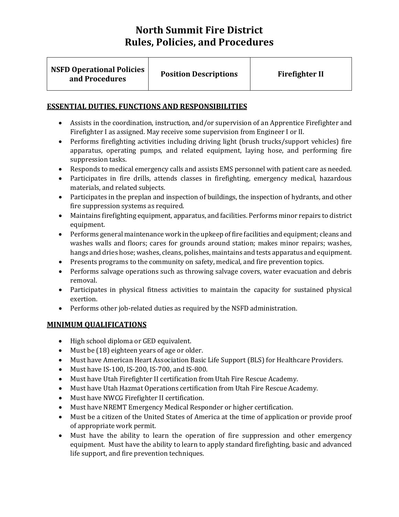| <b>NSFD Operational Policies</b><br>and Procedures | <b>Position Descriptions</b> | <b>Firefighter II</b> |
|----------------------------------------------------|------------------------------|-----------------------|
|                                                    |                              |                       |

## **ESSENTIAL DUTIES, FUNCTIONS AND RESPONSIBILITIES**

- Assists in the coordination, instruction, and/or supervision of an Apprentice Firefighter and Firefighter I as assigned. May receive some supervision from Engineer I or II.
- Performs firefighting activities including driving light (brush trucks/support vehicles) fire apparatus, operating pumps, and related equipment, laying hose, and performing fire suppression tasks.
- Responds to medical emergency calls and assists EMS personnel with patient care as needed.
- Participates in fire drills, attends classes in firefighting, emergency medical, hazardous materials, and related subjects.
- Participates in the preplan and inspection of buildings, the inspection of hydrants, and other fire suppression systems as required.
- Maintains firefighting equipment, apparatus, and facilities. Performs minor repairs to district equipment.
- Performs general maintenance work in the upkeep of fire facilities and equipment; cleans and washes walls and floors; cares for grounds around station; makes minor repairs; washes, hangs and dries hose; washes, cleans, polishes, maintains and tests apparatus and equipment.
- Presents programs to the community on safety, medical, and fire prevention topics.
- Performs salvage operations such as throwing salvage covers, water evacuation and debris removal.
- Participates in physical fitness activities to maintain the capacity for sustained physical exertion.
- Performs other job-related duties as required by the NSFD administration.

# **MINIMUM QUALIFICATIONS**

- High school diploma or GED equivalent.
- Must be (18) eighteen years of age or older.
- Must have American Heart Association Basic Life Support (BLS) for Healthcare Providers.
- Must have IS-100, IS-200, IS-700, and IS-800.
- Must have Utah Firefighter II certification from Utah Fire Rescue Academy.
- Must have Utah Hazmat Operations certification from Utah Fire Rescue Academy.
- Must have NWCG Firefighter II certification.
- Must have NREMT Emergency Medical Responder or higher certification.
- Must be a citizen of the United States of America at the time of application or provide proof of appropriate work permit.
- Must have the ability to learn the operation of fire suppression and other emergency equipment. Must have the ability to learn to apply standard firefighting, basic and advanced life support, and fire prevention techniques.